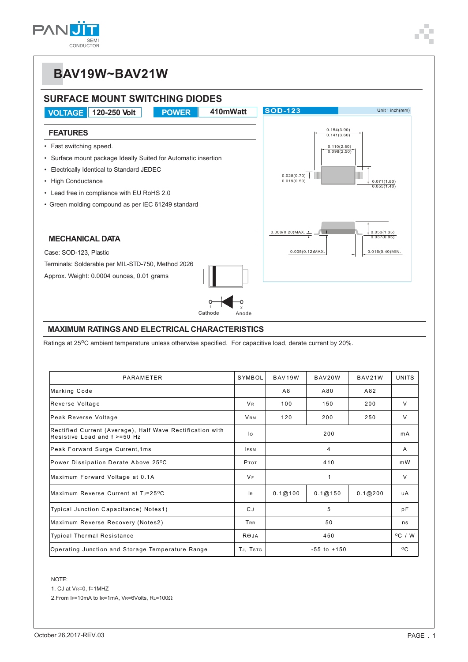

## **BAV19W~BAV21W**



Ratings at 25°C ambient temperature unless otherwise specified. For capacitive load, derate current by 20%.

| PARAMETER                                                                                 | SYMBOL               | BAV19W<br>BAV20W  |         | BAV21W  | UNITS            |
|-------------------------------------------------------------------------------------------|----------------------|-------------------|---------|---------|------------------|
| Marking Code                                                                              |                      | A8                | A80     | A82     |                  |
| Reverse Voltage                                                                           | <b>V<sub>R</sub></b> | 100               | 150     | 200     | $\vee$           |
| Peak Reverse Voltage                                                                      | <b>VRM</b>           | 120<br>200<br>250 |         |         | $\vee$           |
| Rectified Current (Average), Half Wave Rectification with<br>Resistive Load and f >=50 Hz | lo                   |                   | mA      |         |                  |
| Peak Forward Surge Current, 1ms                                                           | <b>IFSM</b>          |                   | A       |         |                  |
| Power Dissipation Derate Above 25°C                                                       | <b>P</b> TOT         |                   | m W     |         |                  |
| Maximum Forward Voltage at 0.1A                                                           | $V_F$                |                   | $\vee$  |         |                  |
| Maximum Reverse Current at TJ=25°C                                                        | <b>IR</b>            | 0.1@100           | 0.1@150 | 0.1@200 | uA               |
| Typical Junction Capacitance(Notes1)                                                      | CJ.                  | 5                 |         |         | рF               |
| Maximum Reverse Recovery (Notes2)                                                         | TRR                  | 50                |         |         | ns               |
| <b>Typical Thermal Resistance</b>                                                         | $R\Theta$ JA         | 450               |         |         | $^{\circ}$ C / W |
| Operating Junction and Storage Temperature Range                                          | TJ, TSTG             | $-55$ to $+150$   |         |         | $^{\circ}$ C     |

NOTE:

1. CJ at VR=0, f=1MHZ

2. From IF=10mA to IR=1mA, VR=6Volts,  $R = 100 \Omega$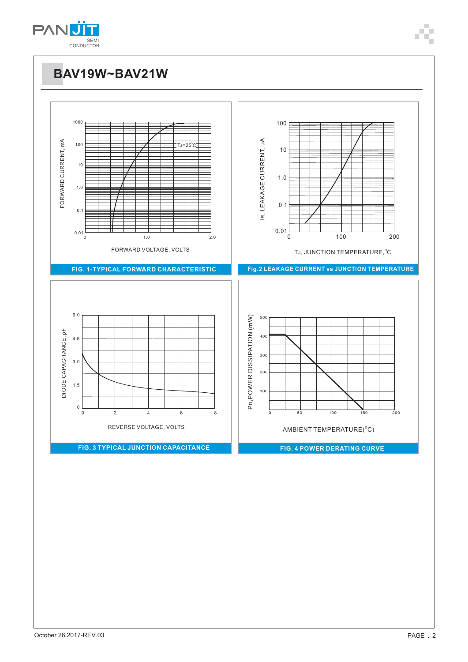

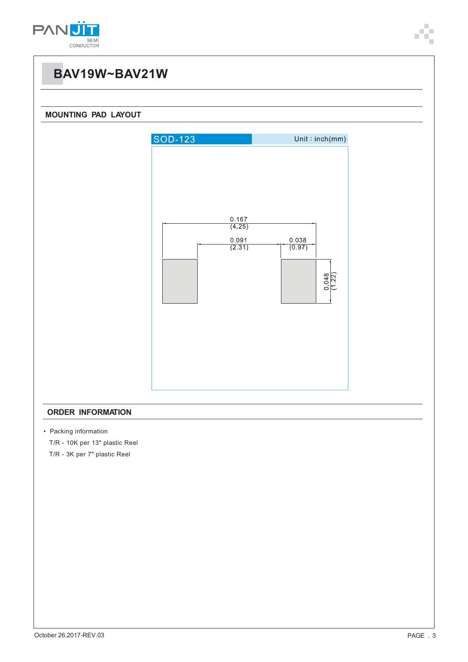

### **BAV19W~BAV21W**

### **MOUNTING PAD LAYOUT**



#### **ORDER INFORMATION**

• Packing information

T/R - 10K per 13" plastic Reel

T/R - 3K per 7" plastic Reel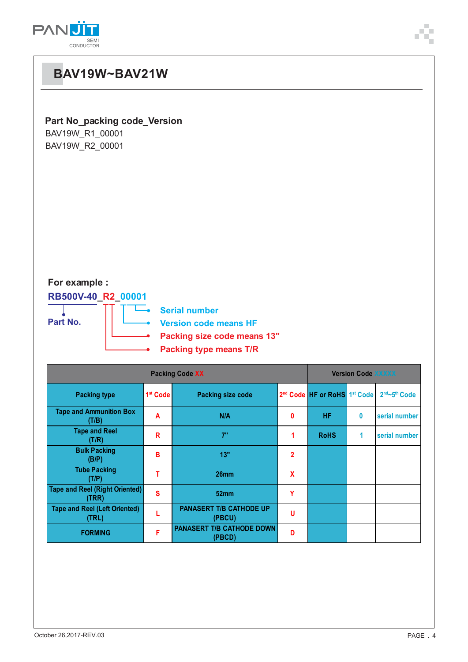

| <b>BAV19W~BAV21W</b>                                                                                                                                                    |                      |                                          |                |                                                      |              |               |  |  |  |  |
|-------------------------------------------------------------------------------------------------------------------------------------------------------------------------|----------------------|------------------------------------------|----------------|------------------------------------------------------|--------------|---------------|--|--|--|--|
| Part No_packing code_Version<br>BAV19W_R1_00001<br>BAV19W_R2_00001                                                                                                      |                      |                                          |                |                                                      |              |               |  |  |  |  |
| For example :<br>RB500V-40_R2_00001<br><b>Serial number</b><br>Part No.<br><b>Version code means HF</b><br>Packing size code means 13"<br><b>Packing type means T/R</b> |                      |                                          |                |                                                      |              |               |  |  |  |  |
| <b>Packing Code XX</b>                                                                                                                                                  |                      |                                          |                | <b>Version Code XXXXX</b>                            |              |               |  |  |  |  |
| <b>Packing type</b>                                                                                                                                                     | 1 <sup>st</sup> Code | Packing size code                        |                | 2 <sup>nd</sup> Code HF or RoHS 1 <sup>st</sup> Code |              | 2nd~5th Code  |  |  |  |  |
| <b>Tape and Ammunition Box</b><br>(T/B)                                                                                                                                 | A                    | N/A                                      | 0              | <b>HF</b>                                            | 0            | serial number |  |  |  |  |
| <b>Tape and Reel</b><br>(T/R)                                                                                                                                           | R                    | 7"                                       | 1              | <b>RoHS</b>                                          | $\mathbf{1}$ | serial number |  |  |  |  |
| <b>Bulk Packing</b><br>(B/P)                                                                                                                                            | B                    | 13"                                      | $\overline{2}$ |                                                      |              |               |  |  |  |  |
| <b>Tube Packing</b><br>(T/P)                                                                                                                                            | T                    | 26mm                                     | X              |                                                      |              |               |  |  |  |  |
| <b>Tape and Reel (Right Oriented)</b><br>(TRR)                                                                                                                          | $\mathbf s$          | 52mm                                     | Y              |                                                      |              |               |  |  |  |  |
| <b>Tape and Reel (Left Oriented)</b><br>(TRL)                                                                                                                           | L                    | <b>PANASERT T/B CATHODE UP</b><br>(PBCU) | U              |                                                      |              |               |  |  |  |  |
| <b>FORMING</b>                                                                                                                                                          | F                    | PANASERT T/B CATHODE DOWN<br>(PBCD)      | D              |                                                      |              |               |  |  |  |  |